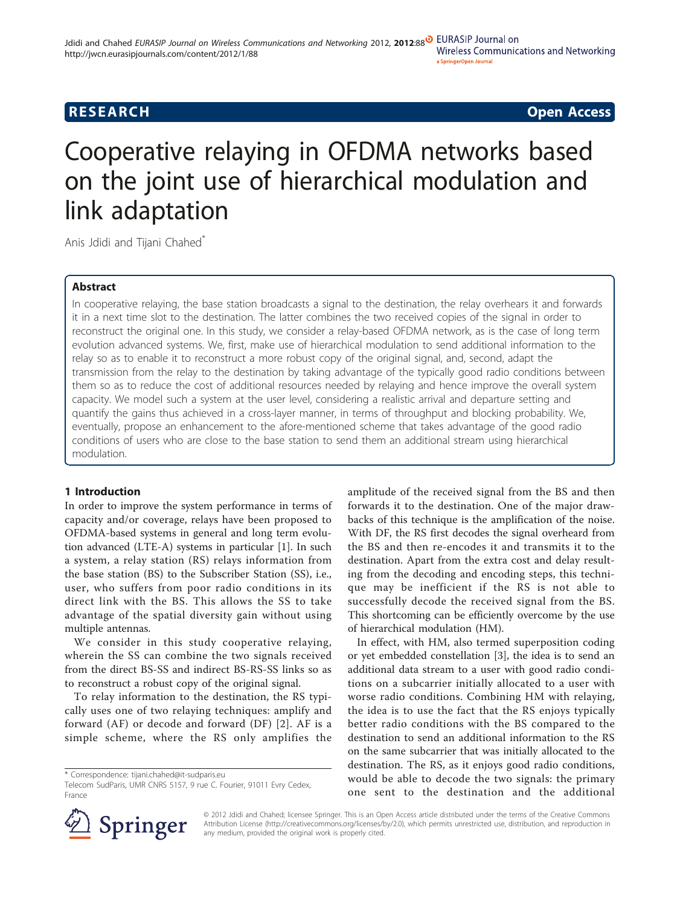# **RESEARCH CONSTRUCTION CONSTRUCTS**

# Cooperative relaying in OFDMA networks based on the joint use of hierarchical modulation and link adaptation

Anis Jdidi and Tijani Chahed\*

## Abstract

In cooperative relaying, the base station broadcasts a signal to the destination, the relay overhears it and forwards it in a next time slot to the destination. The latter combines the two received copies of the signal in order to reconstruct the original one. In this study, we consider a relay-based OFDMA network, as is the case of long term evolution advanced systems. We, first, make use of hierarchical modulation to send additional information to the relay so as to enable it to reconstruct a more robust copy of the original signal, and, second, adapt the transmission from the relay to the destination by taking advantage of the typically good radio conditions between them so as to reduce the cost of additional resources needed by relaying and hence improve the overall system capacity. We model such a system at the user level, considering a realistic arrival and departure setting and quantify the gains thus achieved in a cross-layer manner, in terms of throughput and blocking probability. We, eventually, propose an enhancement to the afore-mentioned scheme that takes advantage of the good radio conditions of users who are close to the base station to send them an additional stream using hierarchical modulation.

#### 1 Introduction

In order to improve the system performance in terms of capacity and/or coverage, relays have been proposed to OFDMA-based systems in general and long term evolution advanced (LTE-A) systems in particular [\[1](#page-10-0)]. In such a system, a relay station (RS) relays information from the base station (BS) to the Subscriber Station (SS), i.e., user, who suffers from poor radio conditions in its direct link with the BS. This allows the SS to take advantage of the spatial diversity gain without using multiple antennas.

We consider in this study cooperative relaying, wherein the SS can combine the two signals received from the direct BS-SS and indirect BS-RS-SS links so as to reconstruct a robust copy of the original signal.

To relay information to the destination, the RS typically uses one of two relaying techniques: amplify and forward (AF) or decode and forward (DF) [\[2](#page-10-0)]. AF is a simple scheme, where the RS only amplifies the amplitude of the received signal from the BS and then forwards it to the destination. One of the major drawbacks of this technique is the amplification of the noise. With DF, the RS first decodes the signal overheard from the BS and then re-encodes it and transmits it to the destination. Apart from the extra cost and delay resulting from the decoding and encoding steps, this technique may be inefficient if the RS is not able to successfully decode the received signal from the BS. This shortcoming can be efficiently overcome by the use of hierarchical modulation (HM).

In effect, with HM, also termed superposition coding or yet embedded constellation [[3\]](#page-11-0), the idea is to send an additional data stream to a user with good radio conditions on a subcarrier initially allocated to a user with worse radio conditions. Combining HM with relaying, the idea is to use the fact that the RS enjoys typically better radio conditions with the BS compared to the destination to send an additional information to the RS on the same subcarrier that was initially allocated to the destination. The RS, as it enjoys good radio conditions, would be able to decode the two signals: the primary one sent to the destination and the additional



© 2012 Jdidi and Chahed; licensee Springer. This is an Open Access article distributed under the terms of the Creative Commons Attribution License [\(http://creativecommons.org/licenses/by/2.0](http://creativecommons.org/licenses/by/2.0)), which permits unrestricted use, distribution, and reproduction in any medium, provided the original work is properly cited.

<sup>\*</sup> Correspondence: [tijani.chahed@it-sudparis.eu](mailto:tijani.chahed@it-sudparis.eu)

Telecom SudParis, UMR CNRS 5157, 9 rue C. Fourier, 91011 Evry Cedex, France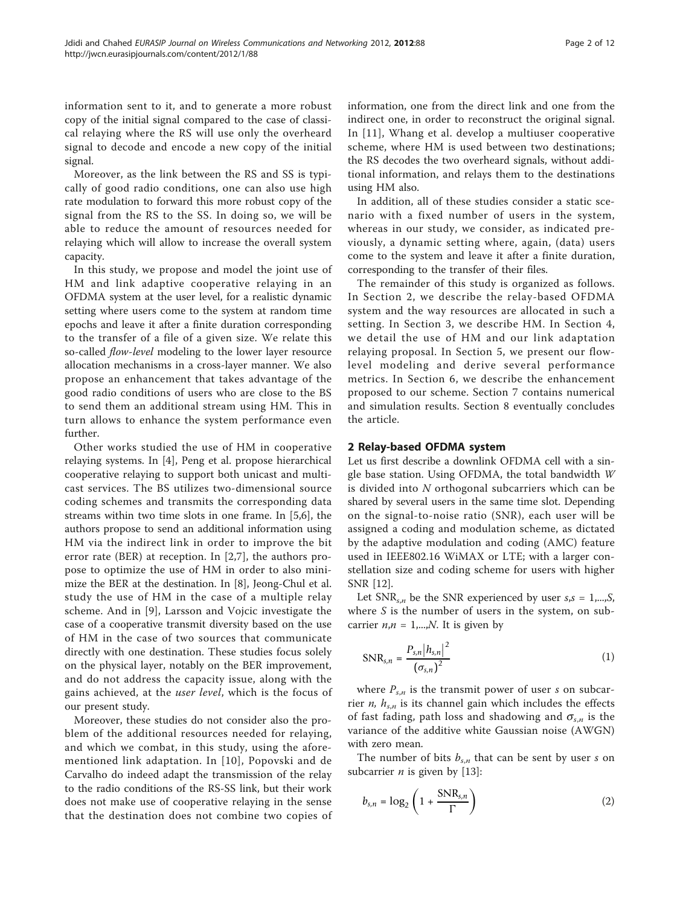information sent to it, and to generate a more robust copy of the initial signal compared to the case of classical relaying where the RS will use only the overheard signal to decode and encode a new copy of the initial signal.

Moreover, as the link between the RS and SS is typically of good radio conditions, one can also use high rate modulation to forward this more robust copy of the signal from the RS to the SS. In doing so, we will be able to reduce the amount of resources needed for relaying which will allow to increase the overall system capacity.

In this study, we propose and model the joint use of HM and link adaptive cooperative relaying in an OFDMA system at the user level, for a realistic dynamic setting where users come to the system at random time epochs and leave it after a finite duration corresponding to the transfer of a file of a given size. We relate this so-called flow-level modeling to the lower layer resource allocation mechanisms in a cross-layer manner. We also propose an enhancement that takes advantage of the good radio conditions of users who are close to the BS to send them an additional stream using HM. This in turn allows to enhance the system performance even further.

Other works studied the use of HM in cooperative relaying systems. In [\[4](#page-11-0)], Peng et al. propose hierarchical cooperative relaying to support both unicast and multicast services. The BS utilizes two-dimensional source coding schemes and transmits the corresponding data streams within two time slots in one frame. In [[5,6\]](#page-11-0), the authors propose to send an additional information using HM via the indirect link in order to improve the bit error rate (BER) at reception. In [[2](#page-10-0)[,7](#page-11-0)], the authors propose to optimize the use of HM in order to also minimize the BER at the destination. In [\[8](#page-11-0)], Jeong-Chul et al. study the use of HM in the case of a multiple relay scheme. And in [\[9](#page-11-0)], Larsson and Vojcic investigate the case of a cooperative transmit diversity based on the use of HM in the case of two sources that communicate directly with one destination. These studies focus solely on the physical layer, notably on the BER improvement, and do not address the capacity issue, along with the gains achieved, at the user level, which is the focus of our present study.

Moreover, these studies do not consider also the problem of the additional resources needed for relaying, and which we combat, in this study, using the aforementioned link adaptation. In [\[10\]](#page-11-0), Popovski and de Carvalho do indeed adapt the transmission of the relay to the radio conditions of the RS-SS link, but their work does not make use of cooperative relaying in the sense that the destination does not combine two copies of information, one from the direct link and one from the indirect one, in order to reconstruct the original signal. In [[11](#page-11-0)], Whang et al. develop a multiuser cooperative scheme, where HM is used between two destinations; the RS decodes the two overheard signals, without additional information, and relays them to the destinations using HM also.

In addition, all of these studies consider a static scenario with a fixed number of users in the system, whereas in our study, we consider, as indicated previously, a dynamic setting where, again, (data) users come to the system and leave it after a finite duration, corresponding to the transfer of their files.

The remainder of this study is organized as follows. In Section 2, we describe the relay-based OFDMA system and the way resources are allocated in such a setting. In Section 3, we describe HM. In Section 4, we detail the use of HM and our link adaptation relaying proposal. In Section 5, we present our flowlevel modeling and derive several performance metrics. In Section 6, we describe the enhancement proposed to our scheme. Section 7 contains numerical and simulation results. Section 8 eventually concludes the article.

#### 2 Relay-based OFDMA system

Let us first describe a downlink OFDMA cell with a single base station. Using OFDMA, the total bandwidth W is divided into N orthogonal subcarriers which can be shared by several users in the same time slot. Depending on the signal-to-noise ratio (SNR), each user will be assigned a coding and modulation scheme, as dictated by the adaptive modulation and coding (AMC) feature used in IEEE802.16 WiMAX or LTE; with a larger constellation size and coding scheme for users with higher SNR [[12](#page-11-0)].

Let  $SNR_{s,n}$  be the SNR experienced by user  $s,s = 1,...,S$ , where  $S$  is the number of users in the system, on subcarrier  $n,n = 1,...,N$ . It is given by

$$
SNR_{s,n} = \frac{P_{s,n} |h_{s,n}|^2}{(\sigma_{s,n})^2}
$$
 (1)

where  $P_{s,n}$  is the transmit power of user s on subcarrier *n*,  $h_{s,n}$  is its channel gain which includes the effects of fast fading, path loss and shadowing and  $\sigma_{s,n}$  is the variance of the additive white Gaussian noise (AWGN) with zero mean.

The number of bits  $b_{s,n}$  that can be sent by user s on subcarrier *n* is given by [\[13](#page-11-0)]:

$$
b_{s,n} = \log_2\left(1 + \frac{\text{SNR}_{s,n}}{\Gamma}\right) \tag{2}
$$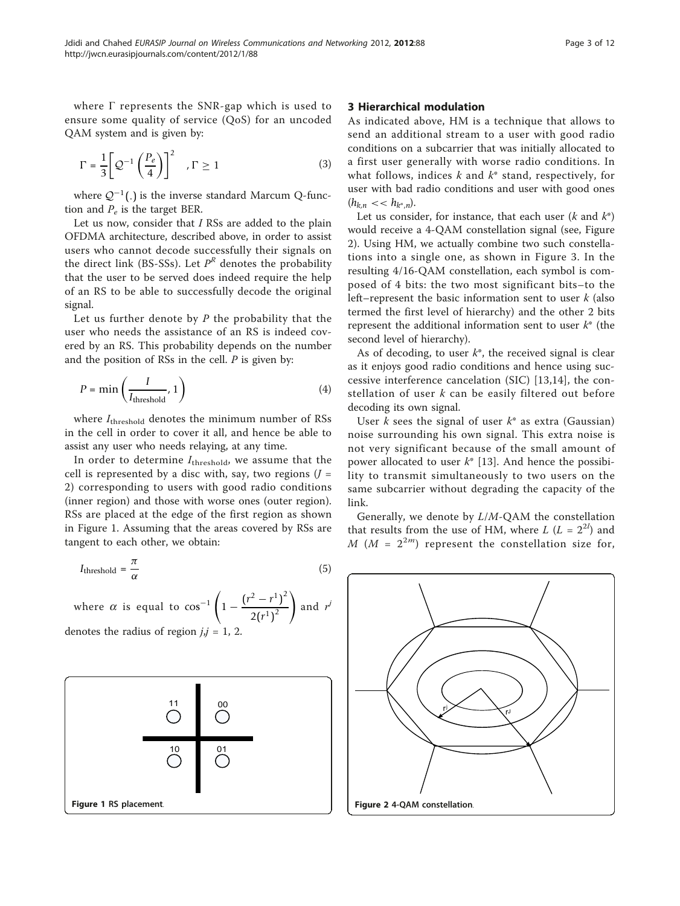where Γ represents the SNR-gap which is used to ensure some quality of service (QoS) for an uncoded QAM system and is given by:

$$
\Gamma = \frac{1}{3} \left[ \mathcal{Q}^{-1} \left( \frac{P_e}{4} \right) \right]^2 \quad , \Gamma \ge 1 \tag{3}
$$

where *<sup>Q</sup>*<sup>−</sup>1(.) is the inverse standard Marcum Q-function and  $P_e$  is the target BER.

Let us now, consider that  $I$  RSs are added to the plain OFDMA architecture, described above, in order to assist users who cannot decode successfully their signals on the direct link (BS-SSs). Let  $P<sup>R</sup>$  denotes the probability that the user to be served does indeed require the help of an RS to be able to successfully decode the original signal.

Let us further denote by  $P$  the probability that the user who needs the assistance of an RS is indeed covered by an RS. This probability depends on the number and the position of RSs in the cell.  $P$  is given by:

$$
P = \min\left(\frac{I}{I_{\text{threshold}}}, 1\right) \tag{4}
$$

where  $I_{\text{threshold}}$  denotes the minimum number of RSs in the cell in order to cover it all, and hence be able to assist any user who needs relaying, at any time.

In order to determine  $I_{\text{threshold}}$ , we assume that the cell is represented by a disc with, say, two regions  $U =$ 2) corresponding to users with good radio conditions (inner region) and those with worse ones (outer region). RSs are placed at the edge of the first region as shown in Figure 1. Assuming that the areas covered by RSs are tangent to each other, we obtain:

$$
I_{\text{threshold}} = \frac{\pi}{\alpha} \tag{5}
$$

where  $\alpha$  is equal to  $\cos^{-1}\left(1-\frac{(r^2-r^1)^2}{2(r^1)^2}\right)$  $2(r^{1})^{2}$ and  $r^j$ denotes the radius of region  $j, j = 1, 2$ .



#### 3 Hierarchical modulation

As indicated above, HM is a technique that allows to send an additional stream to a user with good radio conditions on a subcarrier that was initially allocated to a first user generally with worse radio conditions. In what follows, indices  $k$  and  $k^*$  stand, respectively, for user with bad radio conditions and user with good ones  $(h_{k,n} \, \lt \, \lt \, h_{k^*,n}).$ 

Let us consider, for instance, that each user  $(k \text{ and } k^*)$ would receive a 4-QAM constellation signal (see, Figure 2). Using HM, we actually combine two such constellations into a single one, as shown in Figure [3.](#page-3-0) In the resulting 4/16-QAM constellation, each symbol is composed of 4 bits: the two most significant bits–to the left–represent the basic information sent to user  $k$  (also termed the first level of hierarchy) and the other 2 bits represent the additional information sent to user  $k^*$  (the second level of hierarchy).

As of decoding, to user  $k^*$ , the received signal is clear as it enjoys good radio conditions and hence using successive interference cancelation (SIC) [\[13](#page-11-0),[14\]](#page-11-0), the constellation of user  $k$  can be easily filtered out before decoding its own signal.

User k sees the signal of user  $k^*$  as extra (Gaussian) noise surrounding his own signal. This extra noise is not very significant because of the small amount of power allocated to user  $k^*$  [[13\]](#page-11-0). And hence the possibility to transmit simultaneously to two users on the same subcarrier without degrading the capacity of the link.

Generally, we denote by  $L/M$ -QAM the constellation that results from the use of HM, where  $L (L = 2<sup>2l</sup>)$  and M ( $M = 2^{2m}$ ) represent the constellation size for,

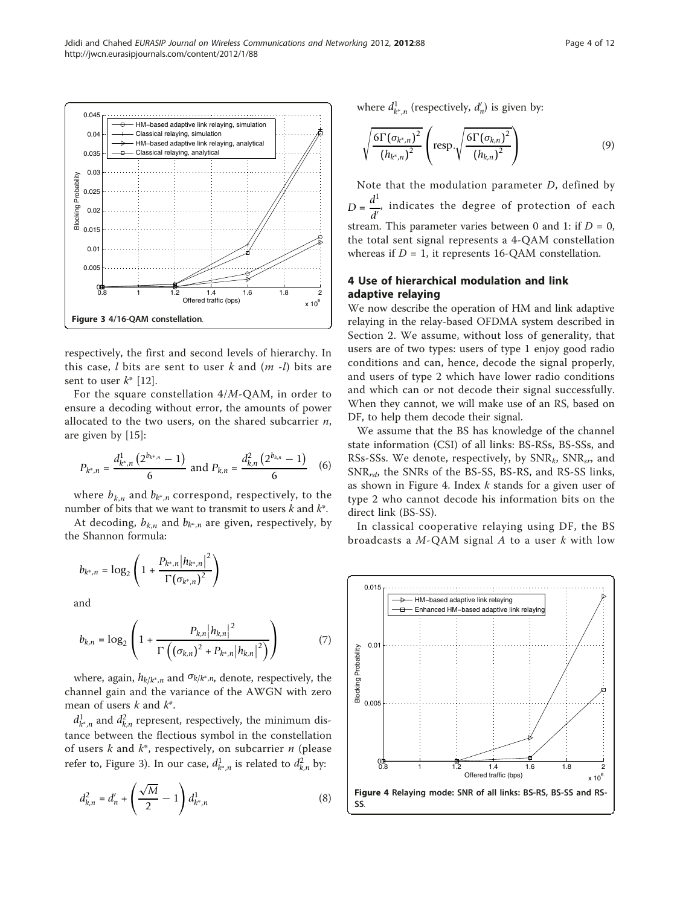<span id="page-3-0"></span>

respectively, the first and second levels of hierarchy. In this case,  $l$  bits are sent to user  $k$  and  $(m - l)$  bits are sent to user  $k^*$  [[12\]](#page-11-0).

For the square constellation 4/M-QAM, in order to ensure a decoding without error, the amounts of power allocated to the two users, on the shared subcarrier  $n$ , are given by [[15\]](#page-11-0):

$$
P_{k^*,n} = \frac{d_{k^*,n}^1(2^{b_{k^*,n}} - 1)}{6} \text{ and } P_{k,n} = \frac{d_{k,n}^2(2^{b_{k,n}} - 1)}{6} \quad (6)
$$

where  $b_{k,n}$  and  $b_{k^*,n}$  correspond, respectively, to the number of bits that we want to transmit to users  $k$  and  $k^*$ .

At decoding,  $b_{k,n}$  and  $b_{k^*,n}$  are given, respectively, by the Shannon formula:

$$
b_{k^*,n} = \log_2\left(1 + \frac{P_{k^*,n} |h_{k^*,n}|^2}{\Gamma(\sigma_{k^*,n})^2}\right)
$$

and

$$
b_{k,n} = \log_2\left(1 + \frac{P_{k,n}|h_{k,n}|^2}{\Gamma\left((\sigma_{k,n})^2 + P_{k^*,n}|h_{k,n}|^2\right)}\right) \tag{7}
$$

where, again,  $h_{k/k^*,n}$  and  $\sigma_{k/k^*,n}$ , denote, respectively, the channel gain and the variance of the AWGN with zero mean of users  $k$  and  $k^*$ .

 $d_{k^*,n}$  and  $d_{k,n}^2$  represent, respectively, the minimum distance between the flectious symbol in the constellation of users  $k$  and  $k^*$ , respectively, on subcarrier  $n$  (please refer to, Figure 3). In our case,  $d_{k^*,n}^1$  is related to  $d_{k,n}^2$  by:

$$
d_{k,n}^2 = d'_n + \left(\frac{\sqrt{M}}{2} - 1\right) d_{k^*,n}^1 \tag{8}
$$

where  $d_{k^*,n}^1$  (respectively,  $d'_n$ ) is given by:

$$
\sqrt{\frac{6\Gamma(\sigma_{k^*,n})^2}{(h_{k^*,n})^2}}\left(\text{resp.}\sqrt{\frac{6\Gamma(\sigma_{k,n})^2}{(h_{k,n})^2}}\right)
$$
(9)

Note that the modulation parameter D, defined by *D* = *d* , indicates the degree of protection of each stream. This parameter varies between 0 and 1: if  $D = 0$ , the total sent signal represents a 4-QAM constellation whereas if  $D = 1$ , it represents 16-QAM constellation.

## 4 Use of hierarchical modulation and link adaptive relaying

We now describe the operation of HM and link adaptive relaying in the relay-based OFDMA system described in Section 2. We assume, without loss of generality, that users are of two types: users of type 1 enjoy good radio conditions and can, hence, decode the signal properly, and users of type 2 which have lower radio conditions and which can or not decode their signal successfully. When they cannot, we will make use of an RS, based on DF, to help them decode their signal.

We assume that the BS has knowledge of the channel state information (CSI) of all links: BS-RSs, BS-SSs, and RSs-SSs. We denote, respectively, by  $SNR_k$ ,  $SNR_{sr}$ , and  $SNR_{rd}$ , the SNRs of the BS-SS, BS-RS, and RS-SS links, as shown in Figure 4. Index  $k$  stands for a given user of type 2 who cannot decode his information bits on the direct link (BS-SS).

In classical cooperative relaying using DF, the BS broadcasts a  $M$ -QAM signal  $A$  to a user  $k$  with low

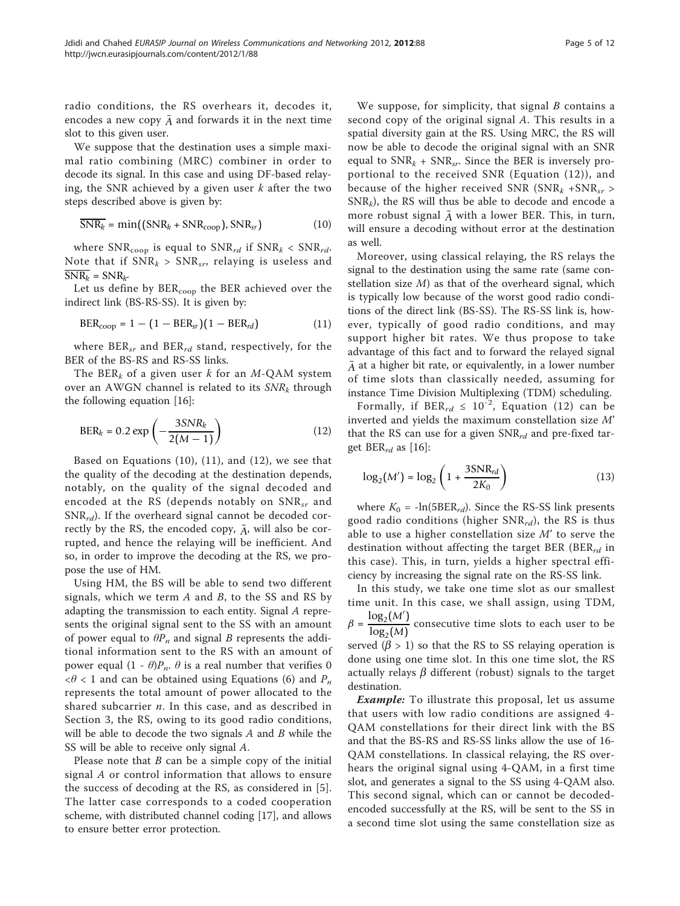radio conditions, the RS overhears it, decodes it, encodes a new copy  $\bar{A}$  and forwards it in the next time slot to this given user.

We suppose that the destination uses a simple maximal ratio combining (MRC) combiner in order to decode its signal. In this case and using DF-based relaying, the SNR achieved by a given user  $k$  after the two steps described above is given by:

$$
\overline{\text{SNR}_k} = \min\big((\text{SNR}_k + \text{SNR}_{\text{coop}}), \text{SNR}_{\text{sr}}\big) \tag{10}
$$

where  $SNR_{coop}$  is equal to  $SNR_{rd}$  if  $SNR_k < SNR_{rd}$ . Note that if  $SNR_k > SNR_{sr}$ , relaying is useless and  $\overline{\text{SNR}_k}$  =  $\text{SNR}_k$ .

Let us define by  $BER_{coop}$  the BER achieved over the indirect link (BS-RS-SS). It is given by:

$$
BER_{\text{coop}} = 1 - (1 - BER_{sr})(1 - BER_{rd}) \tag{11}
$$

where  $BER_{sr}$  and  $BER_{rd}$  stand, respectively, for the BER of the BS-RS and RS-SS links.

The BER<sub>k</sub> of a given user k for an M-QAM system over an AWGN channel is related to its  $SNR_k$  through the following equation [\[16](#page-11-0)]:

$$
BER_k = 0.2 \exp\left(-\frac{3SNR_k}{2(M-1)}\right) \tag{12}
$$

Based on Equations  $(10)$ ,  $(11)$ , and  $(12)$ , we see that the quality of the decoding at the destination depends, notably, on the quality of the signal decoded and encoded at the RS (depends notably on  $SNR_{sr}$  and  $SNR_{rd}$ ). If the overheard signal cannot be decoded correctly by the RS, the encoded copy,  $\bar{A}$ , will also be corrupted, and hence the relaying will be inefficient. And so, in order to improve the decoding at the RS, we propose the use of HM.

Using HM, the BS will be able to send two different signals, which we term  $A$  and  $B$ , to the SS and RS by adapting the transmission to each entity. Signal A represents the original signal sent to the SS with an amount of power equal to  $\theta P_n$  and signal B represents the additional information sent to the RS with an amount of power equal  $(1 - \theta)P_n$ .  $\theta$  is a real number that verifies 0  $\langle \theta \rangle$  < 1 and can be obtained using Equations (6) and P<sub>n</sub> represents the total amount of power allocated to the shared subcarrier  $n$ . In this case, and as described in Section 3, the RS, owing to its good radio conditions, will be able to decode the two signals A and B while the SS will be able to receive only signal A.

Please note that  $B$  can be a simple copy of the initial signal A or control information that allows to ensure the success of decoding at the RS, as considered in [[5](#page-11-0)]. The latter case corresponds to a coded cooperation scheme, with distributed channel coding [\[17\]](#page-11-0), and allows to ensure better error protection.

We suppose, for simplicity, that signal  $B$  contains a second copy of the original signal A. This results in a spatial diversity gain at the RS. Using MRC, the RS will now be able to decode the original signal with an SNR equal to  $SNR_k + SNR_{sr}$ . Since the BER is inversely proportional to the received SNR (Equation (12)), and because of the higher received SNR  $(SNR_k + SNR_{sr} >$  $SNR_k$ ), the RS will thus be able to decode and encode a more robust signal  $\bar{A}$  with a lower BER. This, in turn, will ensure a decoding without error at the destination as well.

Moreover, using classical relaying, the RS relays the signal to the destination using the same rate (same constellation size  $M$ ) as that of the overheard signal, which is typically low because of the worst good radio conditions of the direct link (BS-SS). The RS-SS link is, however, typically of good radio conditions, and may support higher bit rates. We thus propose to take advantage of this fact and to forward the relayed signal  $\overline{A}$  at a higher bit rate, or equivalently, in a lower number of time slots than classically needed, assuming for instance Time Division Multiplexing (TDM) scheduling.

Formally, if  $BER_{rd} \leq 10^{-2}$ , Equation (12) can be inverted and yields the maximum constellation size M' that the RS can use for a given  $SNR_{rd}$  and pre-fixed target  $BER_{rd}$  as [\[16\]](#page-11-0):

$$
\log_2(M') = \log_2\left(1 + \frac{3SNR_{rd}}{2K_0}\right) \tag{13}
$$

where  $K_0 = -\ln(5BER_{rd})$ . Since the RS-SS link presents good radio conditions (higher  $SNR_{rd}$ ), the RS is thus able to use a higher constellation size  $M'$  to serve the destination without affecting the target BER (BER $_{rd}$  in this case). This, in turn, yields a higher spectral efficiency by increasing the signal rate on the RS-SS link.

In this study, we take one time slot as our smallest time unit. In this case, we shall assign, using TDM,

 $\beta = \frac{\log_2(M')}{\log_2(M)}$  consecutive time slots to each user to be served ( $\beta$  > 1) so that the RS to SS relaying operation is done using one time slot. In this one time slot, the RS actually relays  $\beta$  different (robust) signals to the target destination.

**Example:** To illustrate this proposal, let us assume that users with low radio conditions are assigned 4- QAM constellations for their direct link with the BS and that the BS-RS and RS-SS links allow the use of 16- QAM constellations. In classical relaying, the RS overhears the original signal using 4-QAM, in a first time slot, and generates a signal to the SS using 4-QAM also. This second signal, which can or cannot be decodedencoded successfully at the RS, will be sent to the SS in a second time slot using the same constellation size as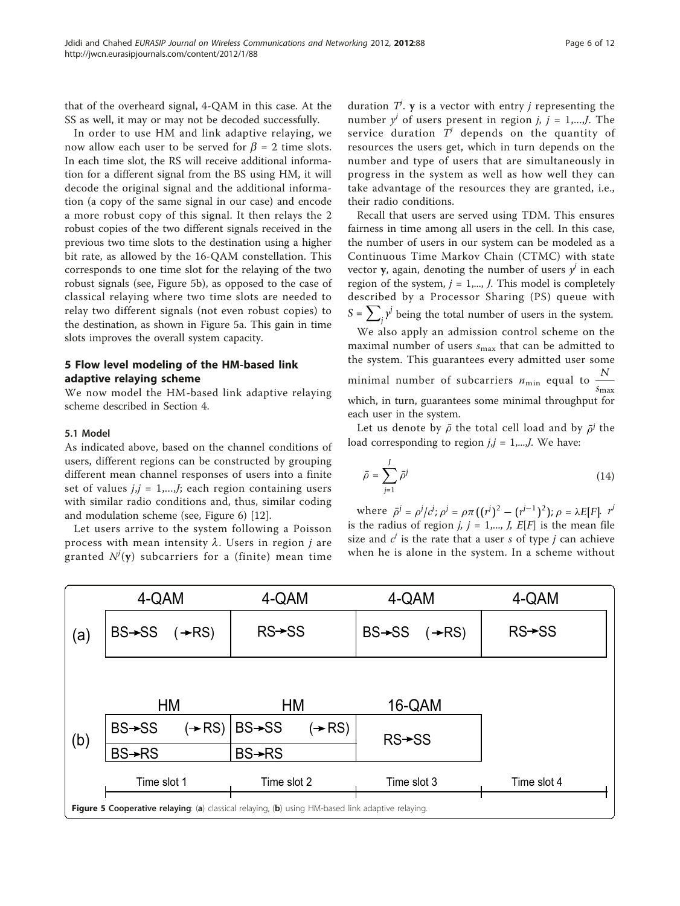that of the overheard signal, 4-QAM in this case. At the SS as well, it may or may not be decoded successfully.

In order to use HM and link adaptive relaying, we now allow each user to be served for  $\beta = 2$  time slots. In each time slot, the RS will receive additional information for a different signal from the BS using HM, it will decode the original signal and the additional information (a copy of the same signal in our case) and encode a more robust copy of this signal. It then relays the 2 robust copies of the two different signals received in the previous two time slots to the destination using a higher bit rate, as allowed by the 16-QAM constellation. This corresponds to one time slot for the relaying of the two robust signals (see, Figure 5b), as opposed to the case of classical relaying where two time slots are needed to relay two different signals (not even robust copies) to the destination, as shown in Figure 5a. This gain in time slots improves the overall system capacity.

## 5 Flow level modeling of the HM-based link adaptive relaying scheme

We now model the HM-based link adaptive relaying scheme described in Section 4.

#### 5.1 Model

As indicated above, based on the channel conditions of users, different regions can be constructed by grouping different mean channel responses of users into a finite set of values  $j, j = 1, \ldots, J;$  each region containing users with similar radio conditions and, thus, similar coding and modulation scheme (see, Figure [6](#page-6-0)) [[12\]](#page-11-0).

Let users arrive to the system following a Poisson process with mean intensity  $\lambda$ . Users in region *j* are granted  $N^{j}(y)$  subcarriers for a (finite) mean time

duration  $T^j$ . **y** is a vector with entry *j* representing the number  $y^j$  of users present in region j,  $j = 1,...,J$ . The service duration  $T^j$  depends on the quantity of resources the users get, which in turn depends on the number and type of users that are simultaneously in progress in the system as well as how well they can take advantage of the resources they are granted, i.e., their radio conditions.

Recall that users are served using TDM. This ensures fairness in time among all users in the cell. In this case, the number of users in our system can be modeled as a Continuous Time Markov Chain (CTMC) with state vector **y**, again, denoting the number of users  $y^j$  in each region of the system,  $j = 1,..., J$ . This model is completely described by a Processor Sharing (PS) queue with  $S = \sum_{j} y^{j}$  being the total number of users in the system.

We also apply an admission control scheme on the maximal number of users  $s_{\text{max}}$  that can be admitted to the system. This guarantees every admitted user some minimal number of subcarriers  $n_{\min}$  equal to  $\frac{N}{n}$ *s*max which, in turn, guarantees some minimal throughput for each user in the system.

Let us denote by  $\bar{\rho}$  the total cell load and by  $\bar{\rho}^j$  the load corresponding to region  $j, j = 1,...,J$ . We have:

$$
\bar{\rho} = \sum_{j=1}^{J} \bar{\rho}^j \tag{14}
$$

where  $\bar{\rho}^j = \rho^j/c^j$ ;  $\rho^j = \rho \pi ((r^j)^2 - (r^{j-1})^2)$ ;  $\rho = \lambda E[F]$ . r<sup>*j*</sup> is the radius of region *j*,  $j = 1,..., J$ ,  $E[F]$  is the mean file size and  $c^j$  is the rate that a user s of type j can achieve when he is alone in the system. In a scheme without

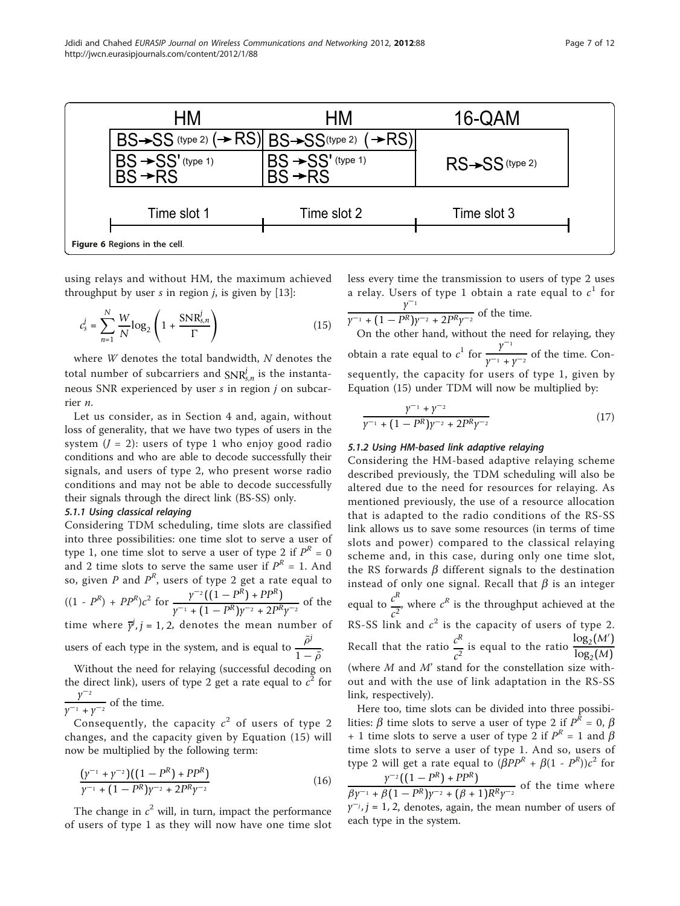<span id="page-6-0"></span>

using relays and without HM, the maximum achieved throughput by user s in region *i*, is given by [[13\]](#page-11-0):

$$
c_s^j = \sum_{n=1}^N \frac{W}{N} \log_2 \left( 1 + \frac{\text{SNR}_{s,n}^j}{\Gamma} \right) \tag{15}
$$

where *W* denotes the total bandwidth, *N* denotes the total number of subcarriers and  $\text{SNR}^{j}_{s,n}$  is the instantaneous SNR experienced by user  $s$  in region  $j$  on subcarrier n.

Let us consider, as in Section 4 and, again, without loss of generality, that we have two types of users in the system  $(J = 2)$ : users of type 1 who enjoy good radio conditions and who are able to decode successfully their signals, and users of type 2, who present worse radio conditions and may not be able to decode successfully their signals through the direct link (BS-SS) only.

## 5.1.1 Using classical relaying

Considering TDM scheduling, time slots are classified into three possibilities: one time slot to serve a user of type 1, one time slot to serve a user of type 2 if  $P^R = 0$ and 2 time slots to serve the same user if  $P^R = 1$ . And so, given  $P$  and  $P^R$ , users of type 2 get a rate equal to  $((1 - P^R) + PP^R)c^2$  for  $\frac{\gamma^{-2}((1 - P^R) + PP^R)}{(1 - P^R)(1 - P^R)}$ *y*<sup>−1</sup> + (1 − *PR*)*y*<sup>−2</sup> + 2*PRy*<sup>−2</sup> of the time where  $\overline{y}^j$ ,  $j = 1, 2$ , denotes the mean number of users of each type in the system, and is equal to  $\frac{\bar{\rho}^j}{\bar{\rho}^j}$  $\frac{\overline{r}}{1-\overline{\rho}}$ . Without the need for relaying (successful decoding on

the direct link), users of type 2 get a rate equal to  $c^2$  for  $\frac{\gamma^{-2}}{\gamma^{-1} + \gamma^{-2}}$  of the time.

Consequently, the capacity  $c^2$  of users of type 2 changes, and the capacity given by Equation (15) will now be multiplied by the following term:

$$
\frac{(\gamma^{-1} + \gamma^{-2})((1 - P^R) + P P^R)}{\gamma^{-1} + (1 - P^R)\gamma^{-2} + 2P^R\gamma^{-2}}
$$
\n(16)

The change in  $c^2$  will, in turn, impact the performance of users of type 1 as they will now have one time slot less every time the transmission to users of type 2 uses a relay. Users of type 1 obtain a rate equal to  $c<sup>1</sup>$  for

*y*<sup>−1</sup> + (1 − *P<sup>R</sup>*)*y*<sup>−2</sup> + 2*P<sup>R</sup>γ<sup>−2</sup></del> of the time.* 

On the other hand, without the need for relaying, they obtain a rate equal to  $c^1$  for  $\frac{\gamma}{\gamma-1}$  of the time. Consequently, the capacity for users of type 1, given by Equation (15) under TDM will now be multiplied by:

$$
\frac{\gamma^{-1} + \gamma^{-2}}{\gamma^{-1} + (1 - P^R)\gamma^{-2} + 2P^R\gamma^{-2}}
$$
\n(17)

#### 5.1.2 Using HM-based link adaptive relaying

Considering the HM-based adaptive relaying scheme described previously, the TDM scheduling will also be altered due to the need for resources for relaying. As mentioned previously, the use of a resource allocation that is adapted to the radio conditions of the RS-SS link allows us to save some resources (in terms of time slots and power) compared to the classical relaying scheme and, in this case, during only one time slot, the RS forwards  $\beta$  different signals to the destination instead of only one signal. Recall that  $\beta$  is an integer equal to  $\frac{c^R}{2}$ *c*2 , where  $c^R$  is the throughput achieved at the RS-SS link and  $c^2$  is the capacity of users of type 2. Recall that the ratio  $\frac{c^R}{c^2}$  is equal to the ratio  $\frac{\log_2(M')}{\log_2(M)}$  $log_2(M)$ (where  $M$  and  $M'$  stand for the constellation size without and with the use of link adaptation in the RS-SS link, respectively).

Here too, time slots can be divided into three possibilities:  $\beta$  time slots to serve a user of type 2 if  $P^R = 0$ ,  $\beta$ + 1 time slots to serve a user of type 2 if  $P^R = 1$  and  $\beta$ time slots to serve a user of type 1. And so, users of type 2 will get a rate equal to  $(\beta PP^R + \beta(1 - P^R))c^2$  for *<sup>y</sup>*−<sup>2</sup> ((1 <sup>−</sup> *<sup>P</sup>R*) + *PPR*)  $\frac{p}{\beta y^{-1} + \beta (1 - P^R) y^{-2} + (\beta + 1) R^R y^{-2}}$  of the time where *y*<sup>−*j*</sup>, *j* = 1, 2, denotes, again, the mean number of users of each type in the system.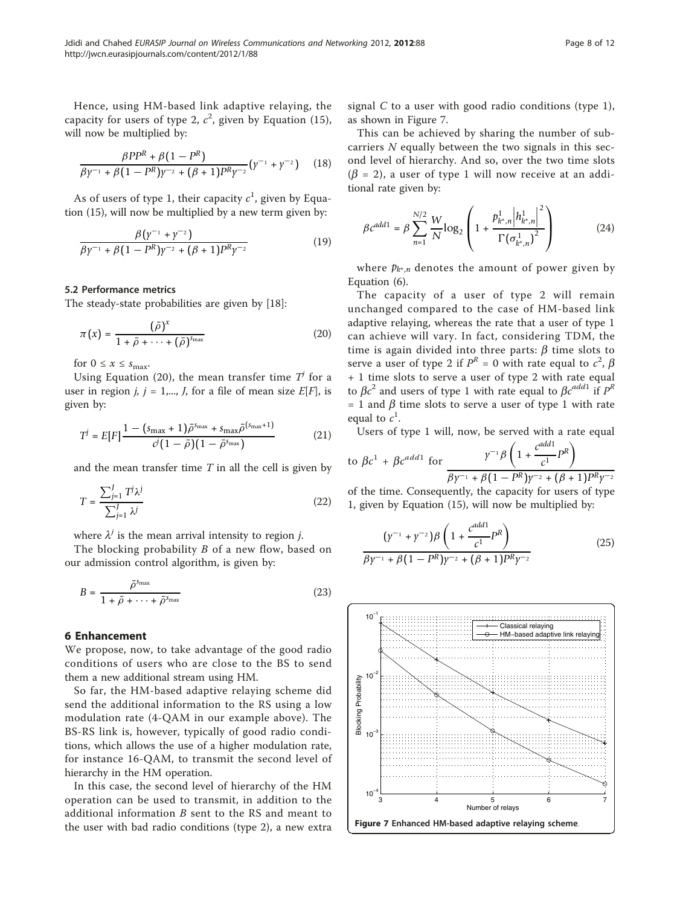Hence, using HM-based link adaptive relaying, the capacity for users of type 2,  $c^2$ , given by Equation (15), will now be multiplied by:

$$
\frac{\beta PP^{R} + \beta (1 - P^{R})}{\beta \gamma^{-1} + \beta (1 - P^{R}) \gamma^{-2} + (\beta + 1) P^{R} \gamma^{-2}} (\gamma^{-1} + \gamma^{-2})
$$
 (18)

As of users of type 1, their capacity  $c^1$ , given by Equation (15), will now be multiplied by a new term given by:

$$
\frac{\beta(\gamma^{-1} + \gamma^{-2})}{\beta\gamma^{-1} + \beta(1 - P^R)\gamma^{-2} + (\beta + 1)P^R\gamma^{-2}}
$$
(19)

#### 5.2 Performance metrics

The steady-state probabilities are given by [\[18](#page-11-0)]:

$$
\pi(x) = \frac{\left(\bar{\rho}\right)^x}{1 + \bar{\rho} + \dots + \left(\bar{\rho}\right)^{s_{\max}}} \tag{20}
$$

for  $0 \leq x \leq s_{\text{max}}$ .

Using Equation (20), the mean transfer time  $T^j$  for a user in region  $j, j = 1,..., J$ , for a file of mean size  $E[F]$ , is given by:

$$
T^{j} = E[F] \frac{1 - (s_{\max} + 1)\bar{\rho}^{s_{\max}} + s_{\max}\bar{\rho}^{(s_{\max} + 1)}}{\bar{c}^{j}(1 - \bar{\rho})(1 - \bar{\rho}^{s_{\max}})}
$$
(21)

and the mean transfer time  $T$  in all the cell is given by

$$
T = \frac{\sum_{j=1}^{J} T^j \lambda^j}{\sum_{j=1}^{J} \lambda^j}
$$
 (22)

where  $\lambda^j$  is the mean arrival intensity to region j.

The blocking probability B of a new flow, based on our admission control algorithm, is given by:

$$
B = \frac{\bar{\rho}^{s_{\max}}}{1 + \bar{\rho} + \dots + \bar{\rho}^{s_{\max}}} \tag{23}
$$

#### 6 Enhancement

We propose, now, to take advantage of the good radio conditions of users who are close to the BS to send them a new additional stream using HM.

So far, the HM-based adaptive relaying scheme did send the additional information to the RS using a low modulation rate (4-QAM in our example above). The BS-RS link is, however, typically of good radio conditions, which allows the use of a higher modulation rate, for instance 16-QAM, to transmit the second level of hierarchy in the HM operation.

In this case, the second level of hierarchy of the HM operation can be used to transmit, in addition to the additional information B sent to the RS and meant to the user with bad radio conditions (type 2), a new extra

signal  $C$  to a user with good radio conditions (type 1), as shown in Figure 7.

This can be achieved by sharing the number of subcarriers N equally between the two signals in this second level of hierarchy. And so, over the two time slots  $(\beta = 2)$ , a user of type 1 will now receive at an additional rate given by:

$$
\beta c^{add1} = \beta \sum_{n=1}^{N/2} \frac{W}{N} \log_2 \left( 1 + \frac{p_{k^*,n}^1 \left| h_{k^*,n}^1 \right|^2}{\Gamma(\sigma_{k^*,n}^1)^2} \right) \tag{24}
$$

where *pk*∗,*<sup>n</sup>* denotes the amount of power given by Equation (6).

The capacity of a user of type 2 will remain unchanged compared to the case of HM-based link adaptive relaying, whereas the rate that a user of type 1 can achieve will vary. In fact, considering TDM, the time is again divided into three parts:  $\beta$  time slots to serve a user of type 2 if  $P^R = 0$  with rate equal to  $c^2$ ,  $\beta$ + 1 time slots to serve a user of type 2 with rate equal to  $\beta c^2$  and users of type 1 with rate equal to  $\beta c^{add1}$  if  $P^k$ = 1 and  $\beta$  time slots to serve a user of type 1 with rate equal to  $c^1$ .

Users of type 1 will, now, be served with a rate equal

*cadd*<sup>1</sup>

to 
$$
\beta c^{1} + \beta c^{add1}
$$
 for 
$$
\frac{\gamma^{-1} \beta \left(1 + \frac{c^{ada1}}{c^{1}} P^{R}\right)}{\beta \gamma^{-1} + \beta (1 - P^{R}) \gamma^{-2} + (\beta + 1) P^{R} \gamma^{-2}}
$$

of the time. Consequently, the capacity for users of type 1, given by Equation (15), will now be multiplied by:

$$
\frac{(\gamma^{-1} + \gamma^{-2})\beta \left(1 + \frac{c^{add1}}{c^1}P^R\right)}{\beta \gamma^{-1} + \beta(1 - P^R)\gamma^{-2} + (\beta + 1)P^R\gamma^{-2}}
$$
(25)

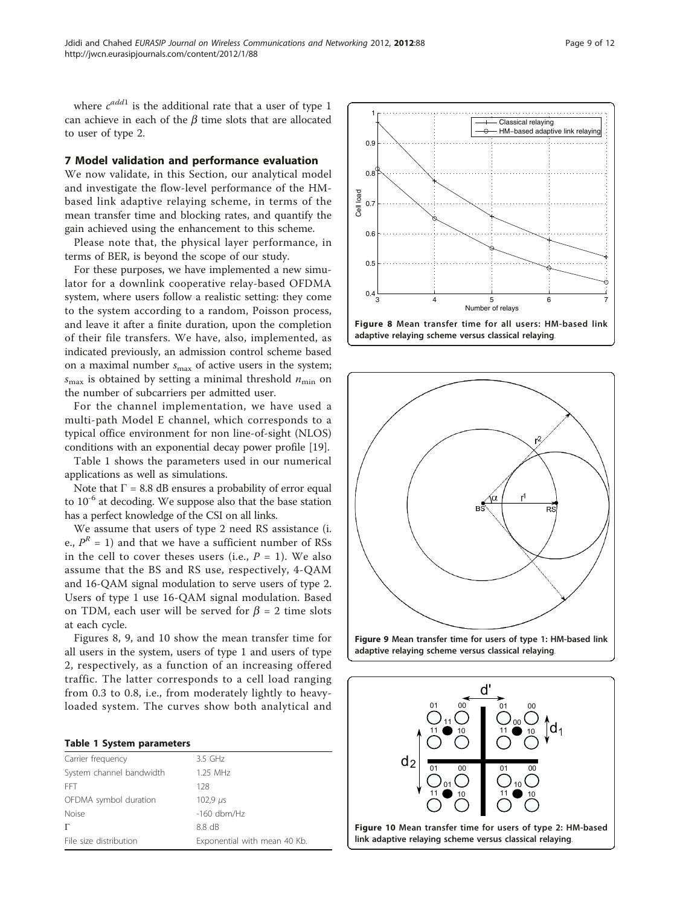where  $c^{add1}$  is the additional rate that a user of type 1 can achieve in each of the  $\beta$  time slots that are allocated to user of type 2.

## 7 Model validation and performance evaluation

We now validate, in this Section, our analytical model and investigate the flow-level performance of the HMbased link adaptive relaying scheme, in terms of the mean transfer time and blocking rates, and quantify the gain achieved using the enhancement to this scheme.

Please note that, the physical layer performance, in terms of BER, is beyond the scope of our study.

For these purposes, we have implemented a new simulator for a downlink cooperative relay-based OFDMA system, where users follow a realistic setting: they come to the system according to a random, Poisson process, and leave it after a finite duration, upon the completion of their file transfers. We have, also, implemented, as indicated previously, an admission control scheme based on a maximal number  $s_{\text{max}}$  of active users in the system;  $s<sub>max</sub>$  is obtained by setting a minimal threshold  $n<sub>min</sub>$  on the number of subcarriers per admitted user.

For the channel implementation, we have used a multi-path Model E channel, which corresponds to a typical office environment for non line-of-sight (NLOS) conditions with an exponential decay power profile [[19\]](#page-11-0).

Table 1 shows the parameters used in our numerical applications as well as simulations.

Note that  $\Gamma = 8.8$  dB ensures a probability of error equal to 10<sup>-6</sup> at decoding. We suppose also that the base station has a perfect knowledge of the CSI on all links.

We assume that users of type 2 need RS assistance (i. e.,  $P^{R} = 1$ ) and that we have a sufficient number of RSs in the cell to cover theses users (i.e.,  $P = 1$ ). We also assume that the BS and RS use, respectively, 4-QAM and 16-QAM signal modulation to serve users of type 2. Users of type 1 use 16-QAM signal modulation. Based on TDM, each user will be served for  $\beta = 2$  time slots at each cycle.

Figures 8, 9, and 10 show the mean transfer time for all users in the system, users of type 1 and users of type 2, respectively, as a function of an increasing offered traffic. The latter corresponds to a cell load ranging from 0.3 to 0.8, i.e., from moderately lightly to heavyloaded system. The curves show both analytical and

|  |  | Table 1 System parameters |
|--|--|---------------------------|
|--|--|---------------------------|

| Carrier frequency        | 3.5 GHz                      |
|--------------------------|------------------------------|
| System channel bandwidth | 1.25 MHz                     |
| <b>FFT</b>               | 128                          |
| OFDMA symbol duration    | $102.9 \text{ }\mu s$        |
| Noise                    | $-160$ dbm/Hz                |
| Г                        | 8.8 dB                       |
| File size distribution   | Exponential with mean 40 Kb. |
|                          |                              |







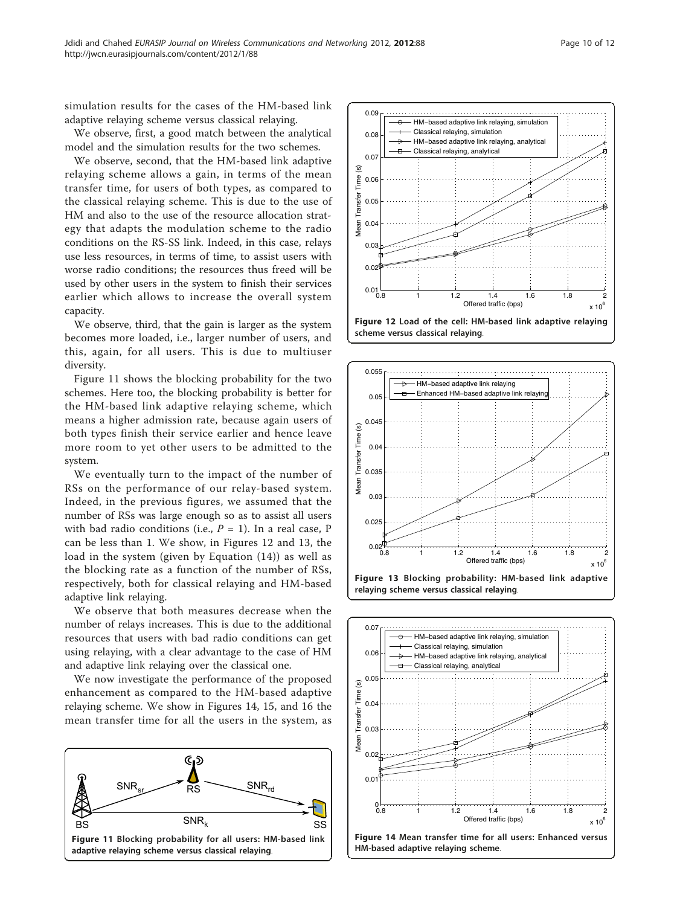simulation results for the cases of the HM-based link adaptive relaying scheme versus classical relaying.

We observe, first, a good match between the analytical model and the simulation results for the two schemes.

We observe, second, that the HM-based link adaptive relaying scheme allows a gain, in terms of the mean transfer time, for users of both types, as compared to the classical relaying scheme. This is due to the use of HM and also to the use of the resource allocation strategy that adapts the modulation scheme to the radio conditions on the RS-SS link. Indeed, in this case, relays use less resources, in terms of time, to assist users with worse radio conditions; the resources thus freed will be used by other users in the system to finish their services earlier which allows to increase the overall system capacity.

We observe, third, that the gain is larger as the system becomes more loaded, i.e., larger number of users, and this, again, for all users. This is due to multiuser diversity.

Figure 11 shows the blocking probability for the two schemes. Here too, the blocking probability is better for the HM-based link adaptive relaying scheme, which means a higher admission rate, because again users of both types finish their service earlier and hence leave more room to yet other users to be admitted to the system.

We eventually turn to the impact of the number of RSs on the performance of our relay-based system. Indeed, in the previous figures, we assumed that the number of RSs was large enough so as to assist all users with bad radio conditions (i.e.,  $P = 1$ ). In a real case, P can be less than 1. We show, in Figures 12 and 13, the load in the system (given by Equation (14)) as well as the blocking rate as a function of the number of RSs, respectively, both for classical relaying and HM-based adaptive link relaying.

We observe that both measures decrease when the number of relays increases. This is due to the additional resources that users with bad radio conditions can get using relaying, with a clear advantage to the case of HM and adaptive link relaying over the classical one.

We now investigate the performance of the proposed enhancement as compared to the HM-based adaptive relaying scheme. We show in Figures 14, [15](#page-10-0), and [16](#page-10-0) the mean transfer time for all the users in the system, as







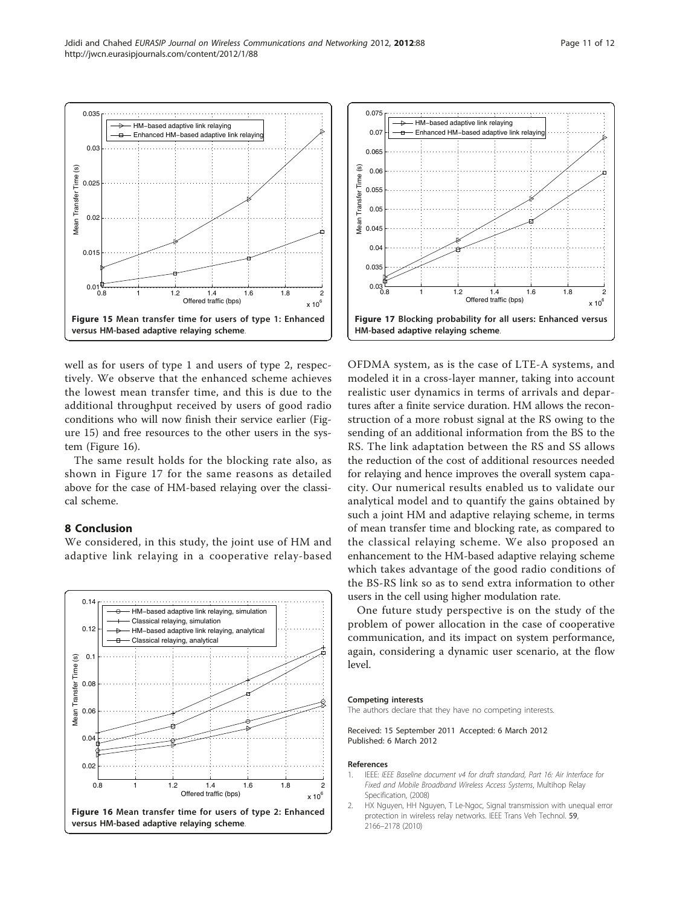well as for users of type 1 and users of type 2, respectively. We observe that the enhanced scheme achieves the lowest mean transfer time, and this is due to the additional throughput received by users of good radio conditions who will now finish their service earlier (Figure 15) and free resources to the other users in the system (Figure 16).

0.8 1 1.2 1.4 1.6 1.8 2

- HM-based adaptive link relaying - Enhanced HM-based adaptive link relay

Offered traffic (bps)

Figure 15 Mean transfer time for users of type 1: Enhanced

versus HM-based adaptive relaying scheme.

 $x 10^6$ 

The same result holds for the blocking rate also, as shown in Figure 17 for the same reasons as detailed above for the case of HM-based relaying over the classical scheme.

#### 8 Conclusion

 $0.01$ 

0.015

 $0.02$ 

0.025

Mean Transfer Time (s)

Vlean Transfer Time

 $\odot$ 

 $0.0$ 

<span id="page-10-0"></span>0.035

We considered, in this study, the joint use of HM and adaptive link relaying in a cooperative relay-based





OFDMA system, as is the case of LTE-A systems, and modeled it in a cross-layer manner, taking into account realistic user dynamics in terms of arrivals and departures after a finite service duration. HM allows the reconstruction of a more robust signal at the RS owing to the sending of an additional information from the BS to the RS. The link adaptation between the RS and SS allows the reduction of the cost of additional resources needed for relaying and hence improves the overall system capacity. Our numerical results enabled us to validate our analytical model and to quantify the gains obtained by such a joint HM and adaptive relaying scheme, in terms of mean transfer time and blocking rate, as compared to the classical relaying scheme. We also proposed an enhancement to the HM-based adaptive relaying scheme which takes advantage of the good radio conditions of the BS-RS link so as to send extra information to other users in the cell using higher modulation rate.

One future study perspective is on the study of the problem of power allocation in the case of cooperative communication, and its impact on system performance, again, considering a dynamic user scenario, at the flow level.

#### Competing interests

The authors declare that they have no competing interests.

Received: 15 September 2011 Accepted: 6 March 2012 Published: 6 March 2012

#### References

- 1. IEEE: IEEE Baseline document v4 for draft standard, Part 16: Air Interface for Fixed and Mobile Broadband Wireless Access Systems, Multihop Relay Specification, (2008)
- 2. HX Nguyen, HH Nguyen, T Le-Ngoc, Signal transmission with unequal error protection in wireless relay networks. IEEE Trans Veh Technol. 59, 2166–2178 (2010)